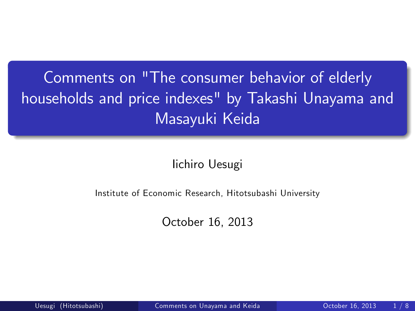Comments on "The consumer behavior of elderly households and price indexes" by Takashi Unayama and Masayuki Keida

Iichiro Uesugi

Institute of Economic Research, Hitotsubashi University

<span id="page-0-0"></span>October 16, 2013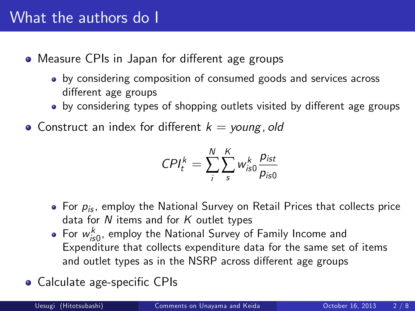#### What the authors do I

- Measure CPIs in Japan for different age groups
	- by considering composition of consumed goods and services across different age groups
	- by considering types of shopping outlets visited by different age groups
- Construct an index for different  $k = young, old$

$$
CPI_t^k = \sum_i^N \sum_s^K w_{is0}^k \frac{p_{ist}}{p_{is0}}
$$

- For  $p_{is}$ , employ the National Survey on Retail Prices that collects price data for  $N$  items and for  $K$  outlet types
- For  $w_{i_{5}0}^{k}$ , employ the National Survey of Family Income and Expenditure that collects expenditure data for the same set of items and outlet types as in the NSRP across different age groups
- Calculate age-specific CPIs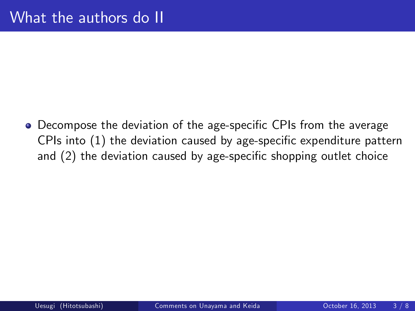• Decompose the deviation of the age-specific CPIs from the average CPIs into  $(1)$  the deviation caused by age-specific expenditure pattern and  $(2)$  the deviation caused by age-specific shopping outlet choice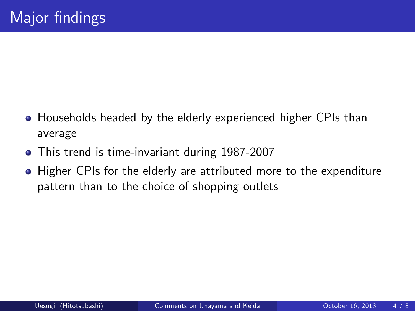- Households headed by the elderly experienced higher CPIs than average
- This trend is time-invariant during 1987-2007
- **Higher CPIs for the elderly are attributed more to the expenditure** pattern than to the choice of shopping outlets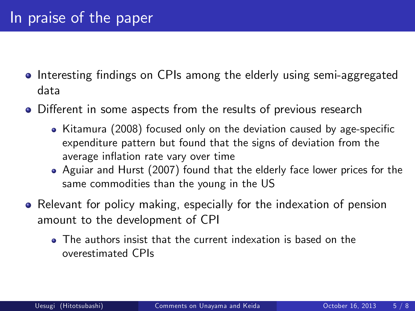#### In praise of the paper

- Interesting findings on CPIs among the elderly using semi-aggregated data
- Different in some aspects from the results of previous research
	- $\bullet$  Kitamura (2008) focused only on the deviation caused by age-specific expenditure pattern but found that the signs of deviation from the average inflation rate vary over time
	- Aguiar and Hurst (2007) found that the elderly face lower prices for the same commodities than the young in the US
- Relevant for policy making, especially for the indexation of pension amount to the development of CPI
	- The authors insist that the current indexation is based on the overestimated CPIs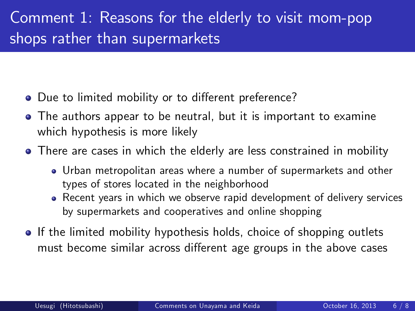### Comment 1: Reasons for the elderly to visit mom-pop shops rather than supermarkets

- Due to limited mobility or to different preference?
- The authors appear to be neutral, but it is important to examine which hypothesis is more likely
- There are cases in which the elderly are less constrained in mobility
	- Urban metropolitan areas where a number of supermarkets and other types of stores located in the neighborhood
	- Recent years in which we observe rapid development of delivery services by supermarkets and cooperatives and online shopping
- If the limited mobility hypothesis holds, choice of shopping outlets must become similar across different age groups in the above cases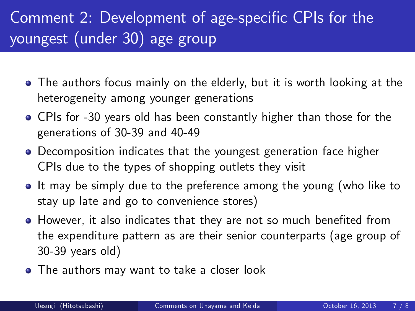# Comment 2: Development of age-specific CPIs for the youngest (under 30) age group

- The authors focus mainly on the elderly, but it is worth looking at the heterogeneity among younger generations
- CPIs for -30 years old has been constantly higher than those for the generations of 30-39 and 40-49
- Decomposition indicates that the youngest generation face higher CPIs due to the types of shopping outlets they visit
- If may be simply due to the preference among the young (who like to stay up late and go to convenience stores)
- **However, it also indicates that they are not so much benefited from** the expenditure pattern as are their senior counterparts (age group of 30-39 years old)
- The authors may want to take a closer look